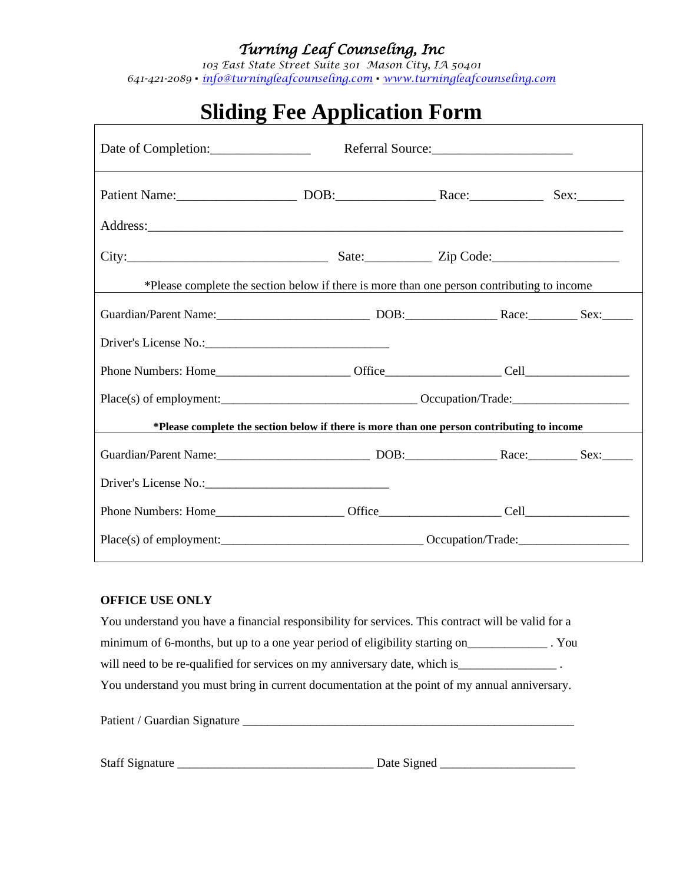### *Turning Leaf Counseling, Inc*

*103 East State Street Suite 301 Mason City, IA 50401 641-421-2089* ▪ *[info@turningleafcounseling.com](mailto:info@turningleafcounseling.com)* ▪ *[www.turningleafcounseling.com](http://www.turningleafcounseling.com/)*

| $\mathbf{a}$ - $\mathbf{v}$ - $\mathbf{r}$ represent<br>Referral Source:<br>Date of Completion: |                                                                                            |  |  |  |
|-------------------------------------------------------------------------------------------------|--------------------------------------------------------------------------------------------|--|--|--|
|                                                                                                 |                                                                                            |  |  |  |
|                                                                                                 |                                                                                            |  |  |  |
|                                                                                                 |                                                                                            |  |  |  |
|                                                                                                 | *Please complete the section below if there is more than one person contributing to income |  |  |  |
|                                                                                                 |                                                                                            |  |  |  |
|                                                                                                 |                                                                                            |  |  |  |
|                                                                                                 |                                                                                            |  |  |  |
|                                                                                                 |                                                                                            |  |  |  |
|                                                                                                 | *Please complete the section below if there is more than one person contributing to income |  |  |  |
|                                                                                                 |                                                                                            |  |  |  |
|                                                                                                 |                                                                                            |  |  |  |
|                                                                                                 |                                                                                            |  |  |  |
|                                                                                                 |                                                                                            |  |  |  |

# **Sliding Fee Application Form**

#### **OFFICE USE ONLY**

You understand you have a financial responsibility for services. This contract will be valid for a minimum of 6-months, but up to a one year period of eligibility starting on\_\_\_\_\_\_\_\_\_\_\_\_\_ . You will need to be re-qualified for services on my anniversary date, which is\_\_\_\_\_\_\_\_\_\_\_\_\_\_\_\_\_\_\_\_\_\_\_. You understand you must bring in current documentation at the point of my annual anniversary.

Patient / Guardian Signature \_\_\_\_\_\_\_\_\_\_\_\_\_\_\_\_\_\_\_\_\_\_\_\_\_\_\_\_\_\_\_\_\_\_\_\_\_\_\_\_\_\_\_\_\_\_\_\_\_\_\_\_\_\_

Staff Signature \_\_\_\_\_\_\_\_\_\_\_\_\_\_\_\_\_\_\_\_\_\_\_\_\_\_\_\_\_\_\_\_ Date Signed \_\_\_\_\_\_\_\_\_\_\_\_\_\_\_\_\_\_\_\_\_\_